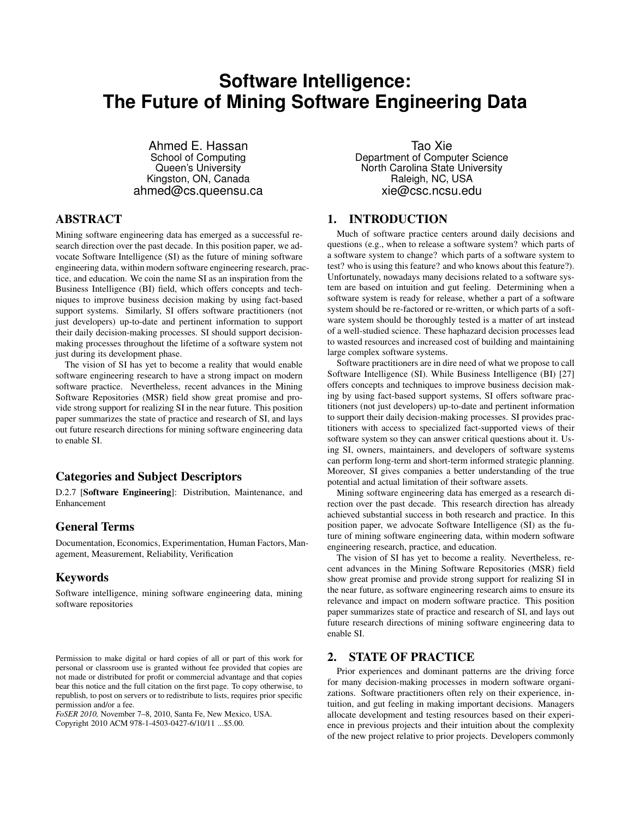# **Software Intelligence: The Future of Mining Software Engineering Data**

Ahmed E. Hassan School of Computing Queen's University Kingston, ON, Canada ahmed@cs.queensu.ca

## **ABSTRACT**

Mining software engineering data has emerged as a successful research direction over the past decade. In this position paper, we advocate Software Intelligence (SI) as the future of mining software engineering data, within modern software engineering research, practice, and education. We coin the name SI as an inspiration from the Business Intelligence (BI) field, which offers concepts and techniques to improve business decision making by using fact-based support systems. Similarly, SI offers software practitioners (not just developers) up-to-date and pertinent information to support their daily decision-making processes. SI should support decisionmaking processes throughout the lifetime of a software system not just during its development phase.

The vision of SI has yet to become a reality that would enable software engineering research to have a strong impact on modern software practice. Nevertheless, recent advances in the Mining Software Repositories (MSR) field show great promise and provide strong support for realizing SI in the near future. This position paper summarizes the state of practice and research of SI, and lays out future research directions for mining software engineering data to enable SI.

# **Categories and Subject Descriptors**

D.2.7 [**Software Engineering**]: Distribution, Maintenance, and Enhancement

## **General Terms**

Documentation, Economics, Experimentation, Human Factors, Management, Measurement, Reliability, Verification

## **Keywords**

Software intelligence, mining software engineering data, mining software repositories

*FoSER 2010,* November 7–8, 2010, Santa Fe, New Mexico, USA. Copyright 2010 ACM 978-1-4503-0427-6/10/11 ...\$5.00.

Tao Xie Department of Computer Science North Carolina State University Raleigh, NC, USA xie@csc.ncsu.edu

## **1. INTRODUCTION**

Much of software practice centers around daily decisions and questions (e.g., when to release a software system? which parts of a software system to change? which parts of a software system to test? who is using this feature? and who knows about this feature?). Unfortunately, nowadays many decisions related to a software system are based on intuition and gut feeling. Determining when a software system is ready for release, whether a part of a software system should be re-factored or re-written, or which parts of a software system should be thoroughly tested is a matter of art instead of a well-studied science. These haphazard decision processes lead to wasted resources and increased cost of building and maintaining large complex software systems.

Software practitioners are in dire need of what we propose to call Software Intelligence (SI). While Business Intelligence (BI) [27] offers concepts and techniques to improve business decision making by using fact-based support systems, SI offers software practitioners (not just developers) up-to-date and pertinent information to support their daily decision-making processes. SI provides practitioners with access to specialized fact-supported views of their software system so they can answer critical questions about it. Using SI, owners, maintainers, and developers of software systems can perform long-term and short-term informed strategic planning. Moreover, SI gives companies a better understanding of the true potential and actual limitation of their software assets.

Mining software engineering data has emerged as a research direction over the past decade. This research direction has already achieved substantial success in both research and practice. In this position paper, we advocate Software Intelligence (SI) as the future of mining software engineering data, within modern software engineering research, practice, and education.

The vision of SI has yet to become a reality. Nevertheless, recent advances in the Mining Software Repositories (MSR) field show great promise and provide strong support for realizing SI in the near future, as software engineering research aims to ensure its relevance and impact on modern software practice. This position paper summarizes state of practice and research of SI, and lays out future research directions of mining software engineering data to enable SI.

### **2. STATE OF PRACTICE**

Prior experiences and dominant patterns are the driving force for many decision-making processes in modern software organizations. Software practitioners often rely on their experience, intuition, and gut feeling in making important decisions. Managers allocate development and testing resources based on their experience in previous projects and their intuition about the complexity of the new project relative to prior projects. Developers commonly

Permission to make digital or hard copies of all or part of this work for personal or classroom use is granted without fee provided that copies are not made or distributed for profit or commercial advantage and that copies bear this notice and the full citation on the first page. To copy otherwise, to republish, to post on servers or to redistribute to lists, requires prior specific permission and/or a fee.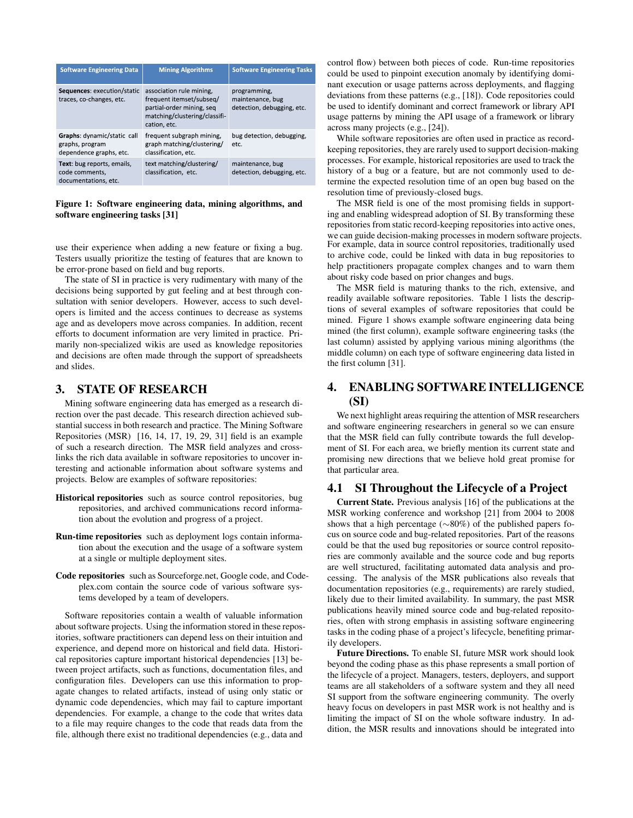| <b>Software Engineering Data</b>                                          | <b>Mining Algorithms</b>                                                                                                           | <b>Software Engineering Tasks</b>                              |
|---------------------------------------------------------------------------|------------------------------------------------------------------------------------------------------------------------------------|----------------------------------------------------------------|
| Sequences: execution/static<br>traces, co-changes, etc.                   | association rule mining,<br>frequent itemset/subseq/<br>partial-order mining, seq<br>matching/clustering/classifi-<br>cation, etc. | programming,<br>maintenance, bug<br>detection, debugging, etc. |
| Graphs: dynamic/static call<br>graphs, program<br>dependence graphs, etc. | frequent subgraph mining,<br>graph matching/clustering/<br>classification, etc.                                                    | bug detection, debugging,<br>etc.                              |
| Text: bug reports, emails,<br>code comments,<br>documentations, etc.      | text matching/clustering/<br>classification. etc.                                                                                  | maintenance, bug<br>detection, debugging, etc.                 |

**Figure 1: Software engineering data, mining algorithms, and software engineering tasks [31]**

use their experience when adding a new feature or fixing a bug. Testers usually prioritize the testing of features that are known to be error-prone based on field and bug reports.

The state of SI in practice is very rudimentary with many of the decisions being supported by gut feeling and at best through consultation with senior developers. However, access to such developers is limited and the access continues to decrease as systems age and as developers move across companies. In addition, recent efforts to document information are very limited in practice. Primarily non-specialized wikis are used as knowledge repositories and decisions are often made through the support of spreadsheets and slides.

### **3. STATE OF RESEARCH**

Mining software engineering data has emerged as a research direction over the past decade. This research direction achieved substantial success in both research and practice. The Mining Software Repositories (MSR) [16, 14, 17, 19, 29, 31] field is an example of such a research direction. The MSR field analyzes and crosslinks the rich data available in software repositories to uncover interesting and actionable information about software systems and projects. Below are examples of software repositories:

- **Historical repositories** such as source control repositories, bug repositories, and archived communications record information about the evolution and progress of a project.
- **Run-time repositories** such as deployment logs contain information about the execution and the usage of a software system at a single or multiple deployment sites.
- **Code repositories** such as Sourceforge.net, Google code, and Codeplex.com contain the source code of various software systems developed by a team of developers.

Software repositories contain a wealth of valuable information about software projects. Using the information stored in these repositories, software practitioners can depend less on their intuition and experience, and depend more on historical and field data. Historical repositories capture important historical dependencies [13] between project artifacts, such as functions, documentation files, and configuration files. Developers can use this information to propagate changes to related artifacts, instead of using only static or dynamic code dependencies, which may fail to capture important dependencies. For example, a change to the code that writes data to a file may require changes to the code that reads data from the file, although there exist no traditional dependencies (e.g., data and

control flow) between both pieces of code. Run-time repositories could be used to pinpoint execution anomaly by identifying dominant execution or usage patterns across deployments, and flagging deviations from these patterns (e.g., [18]). Code repositories could be used to identify dominant and correct framework or library API usage patterns by mining the API usage of a framework or library across many projects (e.g., [24]).

While software repositories are often used in practice as recordkeeping repositories, they are rarely used to support decision-making processes. For example, historical repositories are used to track the history of a bug or a feature, but are not commonly used to determine the expected resolution time of an open bug based on the resolution time of previously-closed bugs.

The MSR field is one of the most promising fields in supporting and enabling widespread adoption of SI. By transforming these repositories from static record-keeping repositories into active ones, we can guide decision-making processes in modern software projects. For example, data in source control repositories, traditionally used to archive code, could be linked with data in bug repositories to help practitioners propagate complex changes and to warn them about risky code based on prior changes and bugs.

The MSR field is maturing thanks to the rich, extensive, and readily available software repositories. Table 1 lists the descriptions of several examples of software repositories that could be mined. Figure 1 shows example software engineering data being mined (the first column), example software engineering tasks (the last column) assisted by applying various mining algorithms (the middle column) on each type of software engineering data listed in the first column [31].

# **4. ENABLING SOFTWARE INTELLIGENCE (SI)**

We next highlight areas requiring the attention of MSR researchers and software engineering researchers in general so we can ensure that the MSR field can fully contribute towards the full development of SI. For each area, we briefly mention its current state and promising new directions that we believe hold great promise for that particular area.

## **4.1 SI Throughout the Lifecycle of a Project**

**Current State.** Previous analysis [16] of the publications at the MSR working conference and workshop [21] from 2004 to 2008 shows that a high percentage (∼80%) of the published papers focus on source code and bug-related repositories. Part of the reasons could be that the used bug repositories or source control repositories are commonly available and the source code and bug reports are well structured, facilitating automated data analysis and processing. The analysis of the MSR publications also reveals that documentation repositories (e.g., requirements) are rarely studied, likely due to their limited availability. In summary, the past MSR publications heavily mined source code and bug-related repositories, often with strong emphasis in assisting software engineering tasks in the coding phase of a project's lifecycle, benefiting primarily developers.

**Future Directions.** To enable SI, future MSR work should look beyond the coding phase as this phase represents a small portion of the lifecycle of a project. Managers, testers, deployers, and support teams are all stakeholders of a software system and they all need SI support from the software engineering community. The overly heavy focus on developers in past MSR work is not healthy and is limiting the impact of SI on the whole software industry. In addition, the MSR results and innovations should be integrated into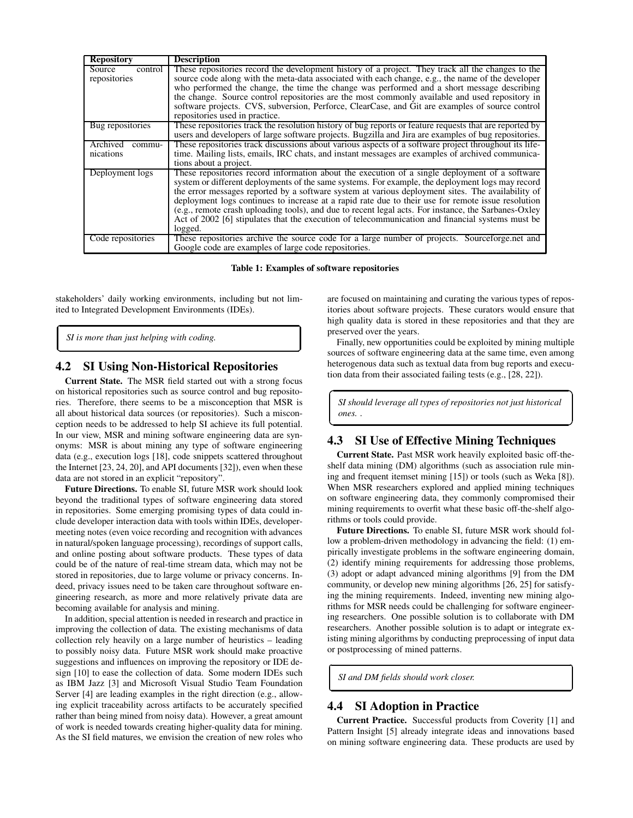| <b>Repository</b>                 | <b>Description</b>                                                                                                                                                                                                                                                                                                                                                                                                                                                                                                                                                                                                                   |
|-----------------------------------|--------------------------------------------------------------------------------------------------------------------------------------------------------------------------------------------------------------------------------------------------------------------------------------------------------------------------------------------------------------------------------------------------------------------------------------------------------------------------------------------------------------------------------------------------------------------------------------------------------------------------------------|
| Source<br>control<br>repositories | These repositories record the development history of a project. They track all the changes to the<br>source code along with the meta-data associated with each change, e.g., the name of the developer<br>who performed the change, the time the change was performed and a short message describing<br>the change. Source control repositories are the most commonly available and used repository in<br>software projects. CVS, subversion, Perforce, ClearCase, and Git are examples of source control<br>repositories used in practice.                                                                                          |
| Bug repositories                  | These repositories track the resolution history of bug reports or feature requests that are reported by<br>users and developers of large software projects. Bugzilla and Jira are examples of bug repositories.                                                                                                                                                                                                                                                                                                                                                                                                                      |
| Archived<br>commu-<br>nications   | These repositories track discussions about various aspects of a software project throughout its life-<br>time. Mailing lists, emails, IRC chats, and instant messages are examples of archived communica-<br>tions about a project.                                                                                                                                                                                                                                                                                                                                                                                                  |
| Deployment logs                   | These repositories record information about the execution of a single deployment of a software<br>system or different deployments of the same systems. For example, the deployment logs may record<br>the error messages reported by a software system at various deployment sites. The availability of<br>deployment logs continues to increase at a rapid rate due to their use for remote issue resolution<br>(e.g., remote crash uploading tools), and due to recent legal acts. For instance, the Sarbanes-Oxley<br>Act of 2002 [6] stipulates that the execution of telecommunication and financial systems must be<br>logged. |
| Code repositories                 | These repositories archive the source code for a large number of projects. Sourceforge.net and<br>Google code are examples of large code repositories.                                                                                                                                                                                                                                                                                                                                                                                                                                                                               |

**Table 1: Examples of software repositories**

ĺ.

✁

 $\epsilon$ 

✝

✄

 $\overline{\phantom{0}}$ 

stakeholders' daily working environments, including but not limited to Integrated Development Environments (IDEs).

*SI is more than just helping with coding.*

✄

✂

### **4.2 SI Using Non-Historical Repositories**

**Current State.** The MSR field started out with a strong focus on historical repositories such as source control and bug repositories. Therefore, there seems to be a misconception that MSR is all about historical data sources (or repositories). Such a misconception needs to be addressed to help SI achieve its full potential. In our view, MSR and mining software engineering data are synonyms: MSR is about mining any type of software engineering data (e.g., execution logs [18], code snippets scattered throughout the Internet [23, 24, 20], and API documents [32]), even when these data are not stored in an explicit "repository".

**Future Directions.** To enable SI, future MSR work should look beyond the traditional types of software engineering data stored in repositories. Some emerging promising types of data could include developer interaction data with tools within IDEs, developermeeting notes (even voice recording and recognition with advances in natural/spoken language processing), recordings of support calls, and online posting about software products. These types of data could be of the nature of real-time stream data, which may not be stored in repositories, due to large volume or privacy concerns. Indeed, privacy issues need to be taken care throughout software engineering research, as more and more relatively private data are becoming available for analysis and mining.

In addition, special attention is needed in research and practice in improving the collection of data. The existing mechanisms of data collection rely heavily on a large number of heuristics – leading to possibly noisy data. Future MSR work should make proactive suggestions and influences on improving the repository or IDE design [10] to ease the collection of data. Some modern IDEs such as IBM Jazz [3] and Microsoft Visual Studio Team Foundation Server [4] are leading examples in the right direction (e.g., allowing explicit traceability across artifacts to be accurately specified rather than being mined from noisy data). However, a great amount of work is needed towards creating higher-quality data for mining. As the SI field matures, we envision the creation of new roles who

are focused on maintaining and curating the various types of repositories about software projects. These curators would ensure that high quality data is stored in these repositories and that they are preserved over the years.

Finally, new opportunities could be exploited by mining multiple sources of software engineering data at the same time, even among heterogenous data such as textual data from bug reports and execution data from their associated failing tests (e.g., [28, 22]).

*SI should leverage all types of repositories not just historical ones. .*

☎

✆

í.

✁

## **4.3 SI Use of Effective Mining Techniques**

**Current State.** Past MSR work heavily exploited basic off-theshelf data mining (DM) algorithms (such as association rule mining and frequent itemset mining [15]) or tools (such as Weka [8]). When MSR researchers explored and applied mining techniques on software engineering data, they commonly compromised their mining requirements to overfit what these basic off-the-shelf algorithms or tools could provide.

**Future Directions.** To enable SI, future MSR work should follow a problem-driven methodology in advancing the field: (1) empirically investigate problems in the software engineering domain, (2) identify mining requirements for addressing those problems, (3) adopt or adapt advanced mining algorithms [9] from the DM community, or develop new mining algorithms [26, 25] for satisfying the mining requirements. Indeed, inventing new mining algorithms for MSR needs could be challenging for software engineering researchers. One possible solution is to collaborate with DM researchers. Another possible solution is to adapt or integrate existing mining algorithms by conducting preprocessing of input data or postprocessing of mined patterns.

*SI and DM fields should work closer.*

## **4.4 SI Adoption in Practice**

**Current Practice.** Successful products from Coverity [1] and Pattern Insight [5] already integrate ideas and innovations based on mining software engineering data. These products are used by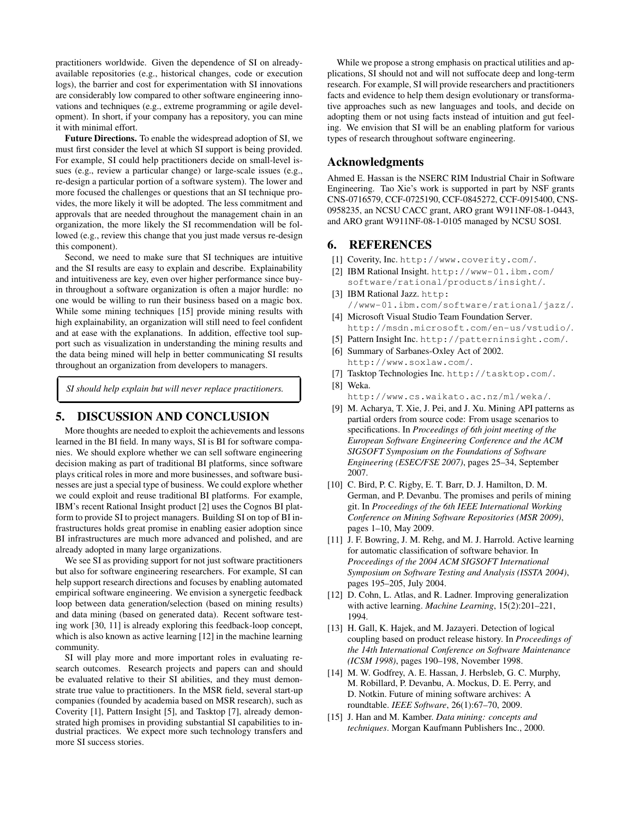practitioners worldwide. Given the dependence of SI on alreadyavailable repositories (e.g., historical changes, code or execution logs), the barrier and cost for experimentation with SI innovations are considerably low compared to other software engineering innovations and techniques (e.g., extreme programming or agile development). In short, if your company has a repository, you can mine it with minimal effort.

**Future Directions.** To enable the widespread adoption of SI, we must first consider the level at which SI support is being provided. For example, SI could help practitioners decide on small-level issues (e.g., review a particular change) or large-scale issues (e.g., re-design a particular portion of a software system). The lower and more focused the challenges or questions that an SI technique provides, the more likely it will be adopted. The less commitment and approvals that are needed throughout the management chain in an organization, the more likely the SI recommendation will be followed (e.g., review this change that you just made versus re-design this component).

Second, we need to make sure that SI techniques are intuitive and the SI results are easy to explain and describe. Explainability and intuitiveness are key, even over higher performance since buyin throughout a software organization is often a major hurdle: no one would be willing to run their business based on a magic box. While some mining techniques [15] provide mining results with high explainability, an organization will still need to feel confident and at ease with the explanations. In addition, effective tool support such as visualization in understanding the mining results and the data being mined will help in better communicating SI results throughout an organization from developers to managers.

*SI should help explain but will never replace practitioners.*

#### **5. DISCUSSION AND CONCLUSION**

✄

✂

More thoughts are needed to exploit the achievements and lessons learned in the BI field. In many ways, SI is BI for software companies. We should explore whether we can sell software engineering decision making as part of traditional BI platforms, since software plays critical roles in more and more businesses, and software businesses are just a special type of business. We could explore whether we could exploit and reuse traditional BI platforms. For example, IBM's recent Rational Insight product [2] uses the Cognos BI platform to provide SI to project managers. Building SI on top of BI infrastructures holds great promise in enabling easier adoption since BI infrastructures are much more advanced and polished, and are already adopted in many large organizations.

We see SI as providing support for not just software practitioners but also for software engineering researchers. For example, SI can help support research directions and focuses by enabling automated empirical software engineering. We envision a synergetic feedback loop between data generation/selection (based on mining results) and data mining (based on generated data). Recent software testing work [30, 11] is already exploring this feedback-loop concept, which is also known as active learning [12] in the machine learning community.

SI will play more and more important roles in evaluating research outcomes. Research projects and papers can and should be evaluated relative to their SI abilities, and they must demonstrate true value to practitioners. In the MSR field, several start-up companies (founded by academia based on MSR research), such as Coverity [1], Pattern Insight [5], and Tasktop [7], already demonstrated high promises in providing substantial SI capabilities to industrial practices. We expect more such technology transfers and more SI success stories.

While we propose a strong emphasis on practical utilities and applications, SI should not and will not suffocate deep and long-term research. For example, SI will provide researchers and practitioners facts and evidence to help them design evolutionary or transformative approaches such as new languages and tools, and decide on adopting them or not using facts instead of intuition and gut feeling. We envision that SI will be an enabling platform for various types of research throughout software engineering.

#### **Acknowledgments**

Ahmed E. Hassan is the NSERC RIM Industrial Chair in Software Engineering. Tao Xie's work is supported in part by NSF grants CNS-0716579, CCF-0725190, CCF-0845272, CCF-0915400, CNS-0958235, an NCSU CACC grant, ARO grant W911NF-08-1-0443, and ARO grant W911NF-08-1-0105 managed by NCSU SOSI.

## **6. REFERENCES**

ĺ.

✁

- [1] Coverity, Inc. http://www.coverity.com/.
- [2] IBM Rational Insight. http://www-01.ibm.com/ software/rational/products/insight/.
- [3] IBM Rational Jazz. http: //www-01.ibm.com/software/rational/jazz/.
- [4] Microsoft Visual Studio Team Foundation Server. http://msdn.microsoft.com/en-us/vstudio/.
- [5] Pattern Insight Inc. http://patterninsight.com/.
- [6] Summary of Sarbanes-Oxley Act of 2002. http://www.soxlaw.com/.
- [7] Tasktop Technologies Inc. http://tasktop.com/.
- [8] Weka. http://www.cs.waikato.ac.nz/ml/weka/.
- [9] M. Acharya, T. Xie, J. Pei, and J. Xu. Mining API patterns as partial orders from source code: From usage scenarios to specifications. In *Proceedings of 6th joint meeting of the European Software Engineering Conference and the ACM SIGSOFT Symposium on the Foundations of Software Engineering (ESEC/FSE 2007)*, pages 25–34, September 2007.
- [10] C. Bird, P. C. Rigby, E. T. Barr, D. J. Hamilton, D. M. German, and P. Devanbu. The promises and perils of mining git. In *Proceedings of the 6th IEEE International Working Conference on Mining Software Repositories (MSR 2009)*, pages 1–10, May 2009.
- [11] J. F. Bowring, J. M. Rehg, and M. J. Harrold. Active learning for automatic classification of software behavior. In *Proceedings of the 2004 ACM SIGSOFT International Symposium on Software Testing and Analysis (ISSTA 2004)*, pages 195–205, July 2004.
- [12] D. Cohn, L. Atlas, and R. Ladner. Improving generalization with active learning. *Machine Learning*, 15(2):201–221, 1994.
- [13] H. Gall, K. Hajek, and M. Jazayeri. Detection of logical coupling based on product release history. In *Proceedings of the 14th International Conference on Software Maintenance (ICSM 1998)*, pages 190–198, November 1998.
- [14] M. W. Godfrey, A. E. Hassan, J. Herbsleb, G. C. Murphy, M. Robillard, P. Devanbu, A. Mockus, D. E. Perry, and D. Notkin. Future of mining software archives: A roundtable. *IEEE Software*, 26(1):67–70, 2009.
- [15] J. Han and M. Kamber. *Data mining: concepts and techniques*. Morgan Kaufmann Publishers Inc., 2000.